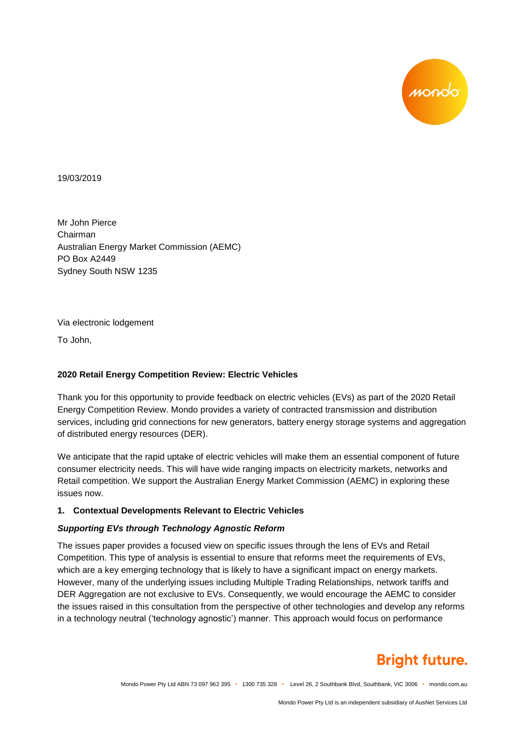

19/03/2019

Mr John Pierce Chairman Australian Energy Market Commission (AEMC) PO Box A2449 Sydney South NSW 1235

Via electronic lodgement

To John,

#### **2020 Retail Energy Competition Review: Electric Vehicles**

Thank you for this opportunity to provide feedback on electric vehicles (EVs) as part of the 2020 Retail Energy Competition Review. Mondo provides a variety of contracted transmission and distribution services, including grid connections for new generators, battery energy storage systems and aggregation of distributed energy resources (DER).

We anticipate that the rapid uptake of electric vehicles will make them an essential component of future consumer electricity needs. This will have wide ranging impacts on electricity markets, networks and Retail competition. We support the Australian Energy Market Commission (AEMC) in exploring these issues now.

#### **1. Contextual Developments Relevant to Electric Vehicles**

#### *Supporting EVs through Technology Agnostic Reform*

The issues paper provides a focused view on specific issues through the lens of EVs and Retail Competition. This type of analysis is essential to ensure that reforms meet the requirements of EVs, which are a key emerging technology that is likely to have a significant impact on energy markets. However, many of the underlying issues including Multiple Trading Relationships, network tariffs and DER Aggregation are not exclusive to EVs. Consequently, we would encourage the AEMC to consider the issues raised in this consultation from the perspective of other technologies and develop any reforms in a technology neutral ('technology agnostic') manner. This approach would focus on performance

# **Bright future.**

Mondo Power Pty Ltd ABN 73 097 962 395 • 1300 735 328 • Level 26, 2 Southbank Blvd, Southbank, VIC 3006 • mondo.com.au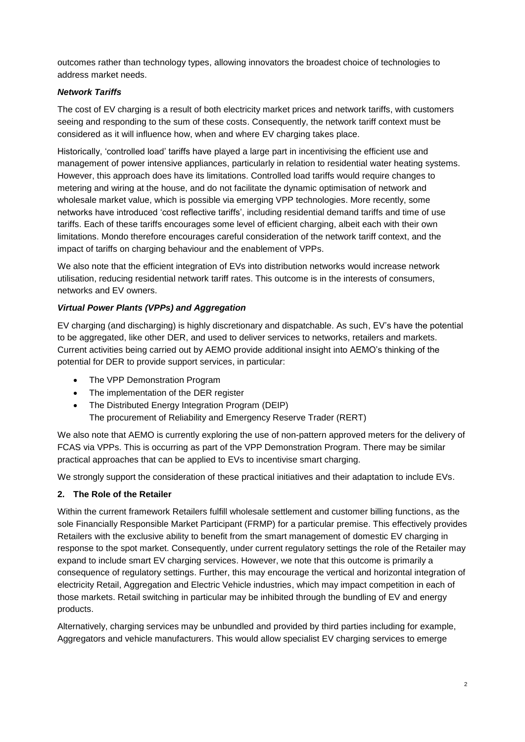outcomes rather than technology types, allowing innovators the broadest choice of technologies to address market needs.

## *Network Tariffs*

The cost of EV charging is a result of both electricity market prices and network tariffs, with customers seeing and responding to the sum of these costs. Consequently, the network tariff context must be considered as it will influence how, when and where EV charging takes place.

Historically, 'controlled load' tariffs have played a large part in incentivising the efficient use and management of power intensive appliances, particularly in relation to residential water heating systems. However, this approach does have its limitations. Controlled load tariffs would require changes to metering and wiring at the house, and do not facilitate the dynamic optimisation of network and wholesale market value, which is possible via emerging VPP technologies. More recently, some networks have introduced 'cost reflective tariffs', including residential demand tariffs and time of use tariffs. Each of these tariffs encourages some level of efficient charging, albeit each with their own limitations. Mondo therefore encourages careful consideration of the network tariff context, and the impact of tariffs on charging behaviour and the enablement of VPPs.

We also note that the efficient integration of EVs into distribution networks would increase network utilisation, reducing residential network tariff rates. This outcome is in the interests of consumers, networks and EV owners.

### *Virtual Power Plants (VPPs) and Aggregation*

EV charging (and discharging) is highly discretionary and dispatchable. As such, EV's have the potential to be aggregated, like other DER, and used to deliver services to networks, retailers and markets. Current activities being carried out by AEMO provide additional insight into AEMO's thinking of the potential for DER to provide support services, in particular:

- The VPP Demonstration Program
- The implementation of the DER register
- The Distributed Energy Integration Program (DEIP)

The procurement of Reliability and Emergency Reserve Trader (RERT)

We also note that AEMO is currently exploring the use of non-pattern approved meters for the delivery of FCAS via VPPs. This is occurring as part of the VPP Demonstration Program. There may be similar practical approaches that can be applied to EVs to incentivise smart charging.

We strongly support the consideration of these practical initiatives and their adaptation to include EVs.

## **2. The Role of the Retailer**

Within the current framework Retailers fulfill wholesale settlement and customer billing functions, as the sole Financially Responsible Market Participant (FRMP) for a particular premise. This effectively provides Retailers with the exclusive ability to benefit from the smart management of domestic EV charging in response to the spot market. Consequently, under current regulatory settings the role of the Retailer may expand to include smart EV charging services. However, we note that this outcome is primarily a consequence of regulatory settings. Further, this may encourage the vertical and horizontal integration of electricity Retail, Aggregation and Electric Vehicle industries, which may impact competition in each of those markets. Retail switching in particular may be inhibited through the bundling of EV and energy products.

Alternatively, charging services may be unbundled and provided by third parties including for example, Aggregators and vehicle manufacturers. This would allow specialist EV charging services to emerge